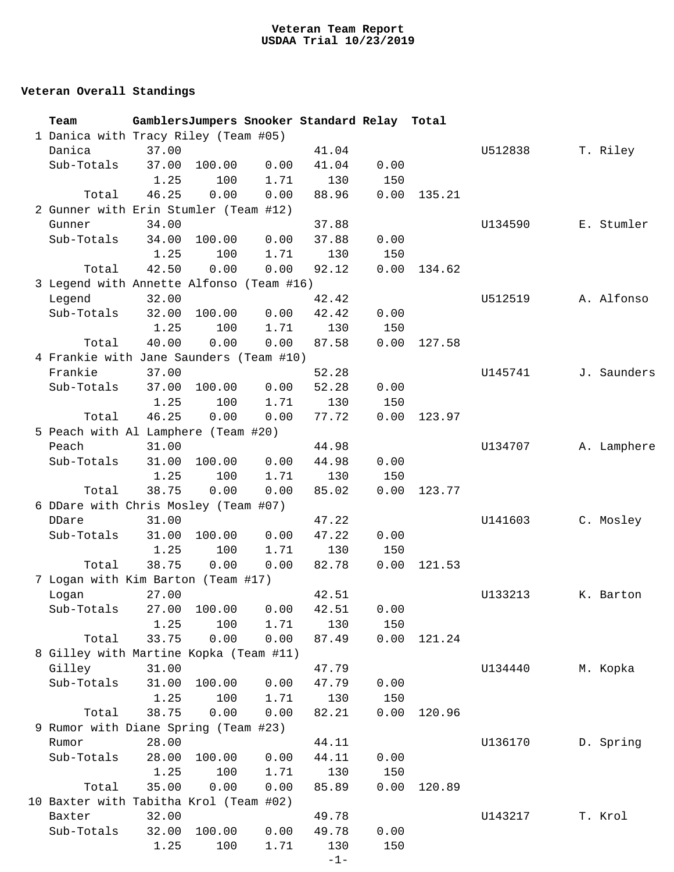## **Veteran Overall Standings**

| Team                                     |       |                         |      | GamblersJumpers Snooker Standard Relay Total |      |        |         |  |             |
|------------------------------------------|-------|-------------------------|------|----------------------------------------------|------|--------|---------|--|-------------|
| 1 Danica with Tracy Riley (Team #05)     |       |                         |      |                                              |      |        |         |  |             |
| Danica                                   | 37.00 |                         |      | 41.04                                        |      |        | U512838 |  | T. Riley    |
| Sub-Totals                               | 37.00 | 100.00                  | 0.00 | 41.04                                        | 0.00 |        |         |  |             |
|                                          | 1.25  | 100                     | 1.71 | 130                                          | 150  |        |         |  |             |
| Total                                    | 46.25 | 0.00                    | 0.00 | 88.96                                        | 0.00 | 135.21 |         |  |             |
| 2 Gunner with Erin Stumler (Team #12)    |       |                         |      |                                              |      |        |         |  |             |
| Gunner                                   | 34.00 |                         |      | 37.88                                        |      |        | U134590 |  | E. Stumler  |
| Sub-Totals                               | 34.00 | 100.00                  | 0.00 | 37.88                                        | 0.00 |        |         |  |             |
|                                          | 1.25  | 100                     | 1.71 | 130                                          | 150  |        |         |  |             |
| Total                                    | 42.50 | 0.00                    | 0.00 | 92.12                                        | 0.00 | 134.62 |         |  |             |
| 3 Legend with Annette Alfonso (Team #16) |       |                         |      |                                              |      |        |         |  |             |
| Legend                                   | 32.00 |                         |      | 42.42                                        |      |        | U512519 |  | A. Alfonso  |
| Sub-Totals                               | 32.00 | 100.00                  | 0.00 | 42.42                                        | 0.00 |        |         |  |             |
|                                          | 1.25  | 100                     | 1.71 | 130                                          | 150  |        |         |  |             |
| Total                                    | 40.00 | 0.00                    | 0.00 | 87.58                                        | 0.00 | 127.58 |         |  |             |
| 4 Frankie with Jane Saunders (Team #10)  |       |                         |      |                                              |      |        |         |  |             |
| Frankie                                  | 37.00 |                         |      | 52.28                                        |      |        | U145741 |  | J. Saunders |
| Sub-Totals                               | 37.00 | 100.00                  | 0.00 | 52.28                                        | 0.00 |        |         |  |             |
|                                          | 1.25  | 100                     | 1.71 | 130                                          | 150  |        |         |  |             |
| Total                                    | 46.25 | 0.00                    | 0.00 | 77.72                                        | 0.00 | 123.97 |         |  |             |
| 5 Peach with Al Lamphere (Team #20)      |       |                         |      |                                              |      |        |         |  |             |
| Peach                                    | 31.00 |                         |      | 44.98                                        |      |        | U134707 |  | A. Lamphere |
| Sub-Totals                               | 31.00 | 100.00                  | 0.00 | 44.98                                        | 0.00 |        |         |  |             |
|                                          | 1.25  | 100                     | 1.71 | 130                                          | 150  |        |         |  |             |
| Total                                    | 38.75 | 0.00                    | 0.00 | 85.02                                        | 0.00 | 123.77 |         |  |             |
| 6 DDare with Chris Mosley (Team #07)     |       |                         |      |                                              |      |        |         |  |             |
| DDare                                    | 31.00 |                         |      | 47.22                                        |      |        | U141603 |  | C. Mosley   |
| Sub-Totals                               | 31.00 | 100.00                  | 0.00 | 47.22                                        | 0.00 |        |         |  |             |
|                                          | 1.25  | 100                     | 1.71 | 130                                          | 150  |        |         |  |             |
| Total                                    | 38.75 | 0.00                    | 0.00 | 82.78                                        | 0.00 | 121.53 |         |  |             |
| 7 Logan with Kim Barton (Team #17)       |       |                         |      |                                              |      |        |         |  |             |
| Logan                                    | 27.00 |                         |      | 42.51                                        |      |        | U133213 |  | K. Barton   |
| Sub-Totals                               |       | 27.00 100.00 0.00 42.51 |      |                                              | 0.00 |        |         |  |             |
|                                          | 1.25  | 100                     | 1.71 | 130                                          | 150  |        |         |  |             |
| Total                                    | 33.75 | 0.00                    | 0.00 | 87.49                                        | 0.00 | 121.24 |         |  |             |
| 8 Gilley with Martine Kopka (Team #11)   |       |                         |      |                                              |      |        |         |  |             |
| Gilley                                   | 31.00 |                         |      | 47.79                                        |      |        | U134440 |  | M. Kopka    |
| Sub-Totals                               | 31.00 | 100.00                  | 0.00 | 47.79                                        | 0.00 |        |         |  |             |
|                                          | 1.25  | 100                     | 1.71 | 130                                          | 150  |        |         |  |             |
| Total                                    | 38.75 | 0.00                    | 0.00 | 82.21                                        | 0.00 | 120.96 |         |  |             |
| 9 Rumor with Diane Spring (Team #23)     |       |                         |      |                                              |      |        |         |  |             |
| Rumor                                    | 28.00 |                         |      | 44.11                                        |      |        | U136170 |  | D. Spring   |
| Sub-Totals                               | 28.00 | 100.00                  | 0.00 | 44.11                                        | 0.00 |        |         |  |             |
|                                          | 1.25  | 100                     | 1.71 | 130                                          | 150  |        |         |  |             |
|                                          |       |                         |      |                                              |      |        |         |  |             |
| Total                                    | 35.00 | 0.00                    | 0.00 | 85.89                                        | 0.00 | 120.89 |         |  |             |
| 10 Baxter with Tabitha Krol (Team #02)   |       |                         |      |                                              |      |        |         |  |             |
| Baxter                                   | 32.00 |                         |      | 49.78                                        |      |        | U143217 |  | T. Krol     |
| Sub-Totals                               | 32.00 | 100.00                  | 0.00 | 49.78                                        | 0.00 |        |         |  |             |
|                                          | 1.25  | 100                     | 1.71 | 130                                          | 150  |        |         |  |             |
|                                          |       |                         |      | $-1-$                                        |      |        |         |  |             |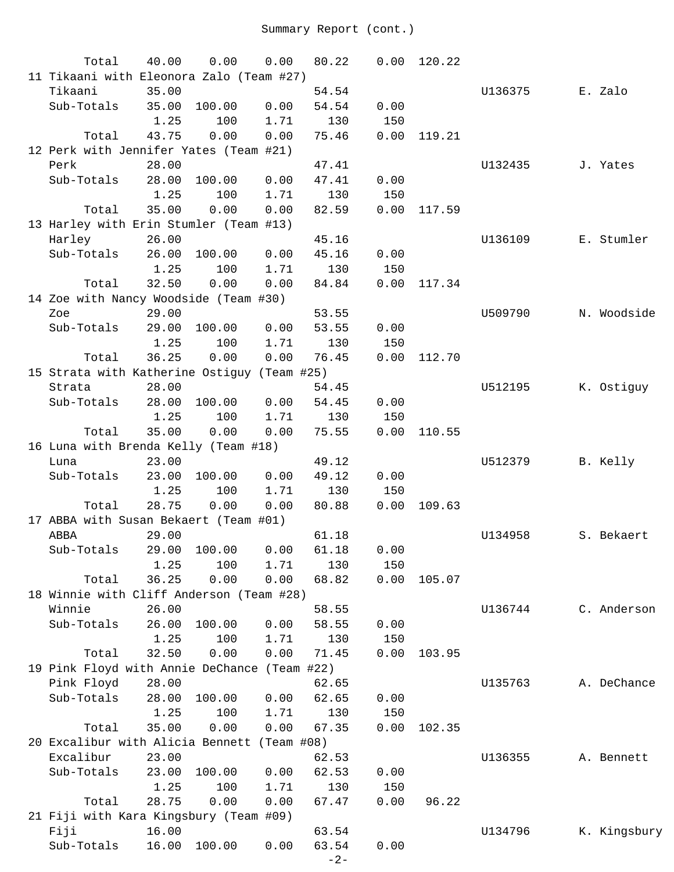| Total                                        | 40.00 | 0.00   | 0.00 | 80.22 | 0.00 | 120.22 |         |              |
|----------------------------------------------|-------|--------|------|-------|------|--------|---------|--------------|
| 11 Tikaani with Eleonora Zalo (Team #27)     |       |        |      |       |      |        |         |              |
| Tikaani                                      | 35.00 |        |      | 54.54 |      |        | U136375 | E. Zalo      |
| Sub-Totals                                   | 35.00 | 100.00 | 0.00 | 54.54 | 0.00 |        |         |              |
|                                              | 1.25  | 100    | 1.71 | 130   | 150  |        |         |              |
| Total                                        | 43.75 | 0.00   | 0.00 | 75.46 | 0.00 | 119.21 |         |              |
| 12 Perk with Jennifer Yates (Team #21)       |       |        |      |       |      |        |         |              |
| Perk                                         | 28.00 |        |      | 47.41 |      |        | U132435 | J. Yates     |
| Sub-Totals                                   | 28.00 | 100.00 | 0.00 | 47.41 | 0.00 |        |         |              |
|                                              | 1.25  | 100    | 1.71 | 130   | 150  |        |         |              |
| Total                                        | 35.00 | 0.00   | 0.00 | 82.59 | 0.00 | 117.59 |         |              |
| 13 Harley with Erin Stumler (Team #13)       |       |        |      |       |      |        |         |              |
| Harley                                       | 26.00 |        |      | 45.16 |      |        | U136109 | E. Stumler   |
| Sub-Totals                                   | 26.00 | 100.00 | 0.00 | 45.16 | 0.00 |        |         |              |
|                                              | 1.25  | 100    | 1.71 | 130   | 150  |        |         |              |
| Total                                        | 32.50 | 0.00   | 0.00 | 84.84 | 0.00 | 117.34 |         |              |
| 14 Zoe with Nancy Woodside (Team #30)        |       |        |      |       |      |        |         |              |
| Zoe                                          | 29.00 |        |      | 53.55 |      |        | U509790 | N. Woodside  |
| Sub-Totals                                   | 29.00 | 100.00 | 0.00 | 53.55 | 0.00 |        |         |              |
|                                              | 1.25  | 100    | 1.71 | 130   | 150  |        |         |              |
| Total                                        | 36.25 | 0.00   | 0.00 | 76.45 | 0.00 | 112.70 |         |              |
| 15 Strata with Katherine Ostiguy (Team #25)  |       |        |      |       |      |        |         |              |
| Strata                                       | 28.00 |        |      | 54.45 |      |        | U512195 | K. Ostiguy   |
| Sub-Totals                                   | 28.00 | 100.00 | 0.00 | 54.45 | 0.00 |        |         |              |
|                                              | 1.25  | 100    | 1.71 | 130   | 150  |        |         |              |
| Total                                        | 35.00 | 0.00   | 0.00 | 75.55 | 0.00 | 110.55 |         |              |
| 16 Luna with Brenda Kelly (Team #18)         |       |        |      |       |      |        |         |              |
| Luna                                         | 23.00 |        |      | 49.12 |      |        | U512379 | B. Kelly     |
| Sub-Totals                                   | 23.00 | 100.00 | 0.00 | 49.12 | 0.00 |        |         |              |
|                                              | 1.25  | 100    | 1.71 | 130   | 150  |        |         |              |
| Total                                        | 28.75 | 0.00   | 0.00 | 80.88 | 0.00 | 109.63 |         |              |
| 17 ABBA with Susan Bekaert (Team #01)        |       |        |      |       |      |        |         |              |
| ABBA                                         | 29.00 |        |      | 61.18 |      |        | U134958 | S. Bekaert   |
| Sub-Totals 29.00 100.00 0.00 61.18           |       |        |      |       | 0.00 |        |         |              |
|                                              | 1.25  | 100    | 1.71 | 130   | 150  |        |         |              |
| Total                                        | 36.25 | 0.00   | 0.00 | 68.82 | 0.00 | 105.07 |         |              |
| 18 Winnie with Cliff Anderson (Team #28)     |       |        |      |       |      |        |         |              |
| Winnie                                       | 26.00 |        |      | 58.55 |      |        | U136744 | C. Anderson  |
| Sub-Totals                                   | 26.00 | 100.00 | 0.00 | 58.55 | 0.00 |        |         |              |
|                                              | 1.25  | 100    | 1.71 | 130   | 150  |        |         |              |
| Total                                        | 32.50 | 0.00   | 0.00 | 71.45 | 0.00 | 103.95 |         |              |
| 19 Pink Floyd with Annie DeChance (Team #22) |       |        |      |       |      |        |         |              |
|                                              | 28.00 |        |      |       |      |        |         |              |
| Pink Floyd                                   |       |        |      | 62.65 |      |        | U135763 | A. DeChance  |
| Sub-Totals                                   | 28.00 | 100.00 | 0.00 | 62.65 | 0.00 |        |         |              |
|                                              | 1.25  | 100    | 1.71 | 130   | 150  |        |         |              |
| Total                                        | 35.00 | 0.00   | 0.00 | 67.35 | 0.00 | 102.35 |         |              |
| 20 Excalibur with Alicia Bennett (Team #08)  |       |        |      |       |      |        |         |              |
| Excalibur                                    | 23.00 |        |      | 62.53 |      |        | U136355 | A. Bennett   |
| Sub-Totals                                   | 23.00 | 100.00 | 0.00 | 62.53 | 0.00 |        |         |              |
|                                              | 1.25  | 100    | 1.71 | 130   | 150  |        |         |              |
| Total                                        | 28.75 | 0.00   | 0.00 | 67.47 | 0.00 | 96.22  |         |              |
| 21 Fiji with Kara Kingsbury (Team #09)       |       |        |      |       |      |        |         |              |
| Fiji                                         | 16.00 |        |      | 63.54 |      |        | U134796 | K. Kingsbury |
| Sub-Totals                                   | 16.00 | 100.00 | 0.00 | 63.54 | 0.00 |        |         |              |
|                                              |       |        |      | $-2-$ |      |        |         |              |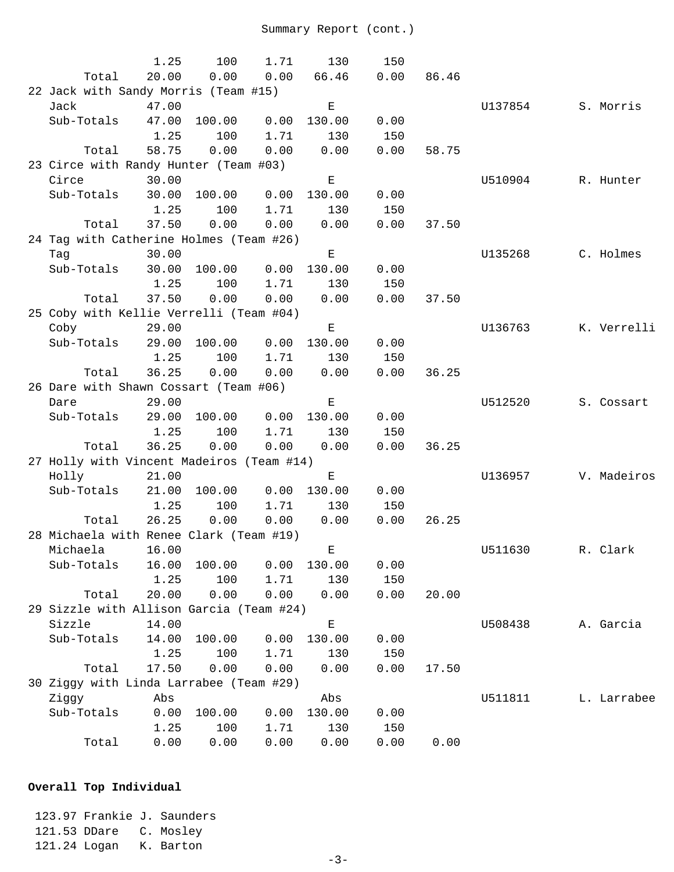|                                      |                                               | 1.25          | 100         | 1.71 | 130                                                                                            | 150  |       |         |             |
|--------------------------------------|-----------------------------------------------|---------------|-------------|------|------------------------------------------------------------------------------------------------|------|-------|---------|-------------|
|                                      | Total                                         | 20.00         | 0.00        | 0.00 | 66.46                                                                                          | 0.00 | 86.46 |         |             |
| 22 Jack with Sandy Morris (Team #15) |                                               |               |             |      |                                                                                                |      |       |         |             |
|                                      | Jack                                          | 47.00         |             |      | $\mathbf E$                                                                                    |      |       | U137854 | S. Morris   |
|                                      | Sub-Totals                                    | 47.00         | 100.00      | 0.00 | 130.00                                                                                         | 0.00 |       |         |             |
|                                      |                                               | 1.25          | 100         | 1.71 | 130                                                                                            | 150  |       |         |             |
|                                      | Total                                         | 58.75         | 0.00        | 0.00 | 0.00                                                                                           | 0.00 | 58.75 |         |             |
|                                      | 23 Circe with Randy Hunter (Team #03)         |               |             |      |                                                                                                |      |       |         |             |
|                                      | Circe                                         | 30.00         |             |      | Е                                                                                              |      |       | U510904 | R. Hunter   |
|                                      | Sub-Totals                                    | 30.00         | 100.00      | 0.00 | 130.00                                                                                         | 0.00 |       |         |             |
|                                      |                                               | 1.25          | 100         | 1.71 | 130                                                                                            | 150  |       |         |             |
|                                      | Total                                         | 37.50         | 0.00        | 0.00 | 0.00                                                                                           | 0.00 | 37.50 |         |             |
|                                      | 24 Tag with Catherine Holmes (Team #26)       |               |             |      |                                                                                                |      |       |         |             |
|                                      | Tag                                           | 30.00         |             |      | $\mathbf{E}% _{t}\left  \mathbf{1}\right\rangle =\mathbf{1}_{t}\left  \mathbf{1}\right\rangle$ |      |       | U135268 | C. Holmes   |
|                                      | Sub-Totals                                    | 30.00         | 100.00      | 0.00 | 130.00                                                                                         | 0.00 |       |         |             |
|                                      |                                               | 1.25          | 100         | 1.71 | 130                                                                                            | 150  |       |         |             |
|                                      | Total                                         | 37.50         | 0.00        | 0.00 | 0.00                                                                                           | 0.00 | 37.50 |         |             |
|                                      | 25 Coby with Kellie Verrelli (Team #04)       |               |             |      |                                                                                                |      |       |         |             |
|                                      | Coby                                          | 29.00         |             |      | Е                                                                                              |      |       | U136763 | K. Verrelli |
|                                      | Sub-Totals                                    | 29.00         | 100.00      | 0.00 | 130.00                                                                                         | 0.00 |       |         |             |
|                                      |                                               | 1.25<br>36.25 | 100<br>0.00 | 1.71 | 130                                                                                            | 150  | 36.25 |         |             |
|                                      | Total                                         |               |             | 0.00 | 0.00                                                                                           | 0.00 |       |         |             |
|                                      | 26 Dare with Shawn Cossart (Team #06)<br>Dare | 29.00         |             |      | $\mathbf{E}% _{t}\left  \mathbf{1}\right\rangle =\mathbf{1}_{t}\left  \mathbf{1}\right\rangle$ |      |       | U512520 | S. Cossart  |
|                                      | Sub-Totals                                    | 29.00         | 100.00      | 0.00 | 130.00                                                                                         | 0.00 |       |         |             |
|                                      |                                               | 1.25          | 100         | 1.71 | 130                                                                                            | 150  |       |         |             |
|                                      | Total                                         | 36.25         | 0.00        | 0.00 | 0.00                                                                                           | 0.00 | 36.25 |         |             |
|                                      | 27 Holly with Vincent Madeiros (Team #14)     |               |             |      |                                                                                                |      |       |         |             |
|                                      | Holly                                         | 21.00         |             |      | $\mathbf E$                                                                                    |      |       | U136957 | V. Madeiros |
|                                      | Sub-Totals                                    | 21.00         | 100.00      | 0.00 | 130.00                                                                                         | 0.00 |       |         |             |
|                                      |                                               | 1.25          | 100         | 1.71 | 130                                                                                            | 150  |       |         |             |
|                                      | Total                                         | 26.25         | 0.00        | 0.00 | 0.00                                                                                           | 0.00 | 26.25 |         |             |
|                                      | 28 Michaela with Renee Clark (Team #19)       |               |             |      |                                                                                                |      |       |         |             |
|                                      | Michaela                                      | 16.00         |             |      | $E_{\perp}$                                                                                    |      |       | U511630 | R. Clark    |
|                                      | Sub-Totals                                    | 16.00         | 100.00      | 0.00 | 130.00                                                                                         | 0.00 |       |         |             |
|                                      |                                               | 1.25          | 100         | 1.71 | 130                                                                                            | 150  |       |         |             |
|                                      | Total                                         | 20.00         | 0.00        | 0.00 | 0.00                                                                                           | 0.00 | 20.00 |         |             |
|                                      | 29 Sizzle with Allison Garcia (Team #24)      |               |             |      |                                                                                                |      |       |         |             |
|                                      | Sizzle                                        | 14.00         |             |      | Ε                                                                                              |      |       | U508438 | A. Garcia   |
|                                      | Sub-Totals                                    | 14.00         | 100.00      | 0.00 | 130.00                                                                                         | 0.00 |       |         |             |
|                                      |                                               | 1.25          | 100         | 1.71 | 130                                                                                            | 150  |       |         |             |
|                                      | Total                                         | 17.50         | 0.00        | 0.00 | 0.00                                                                                           | 0.00 | 17.50 |         |             |
|                                      | 30 Ziggy with Linda Larrabee (Team #29)       |               |             |      |                                                                                                |      |       |         |             |
|                                      | Ziggy                                         | Abs           |             |      | Abs                                                                                            |      |       | U511811 | L. Larrabee |
|                                      | Sub-Totals                                    | 0.00          | 100.00      | 0.00 | 130.00                                                                                         | 0.00 |       |         |             |
|                                      |                                               | 1.25          | 100         | 1.71 | 130                                                                                            | 150  |       |         |             |
|                                      | Total                                         | 0.00          | 0.00        | 0.00 | 0.00                                                                                           | 0.00 | 0.00  |         |             |

## **Overall Top Individual**

 123.97 Frankie J. Saunders 121.53 DDare C. Mosley 121.24 Logan K. Barton